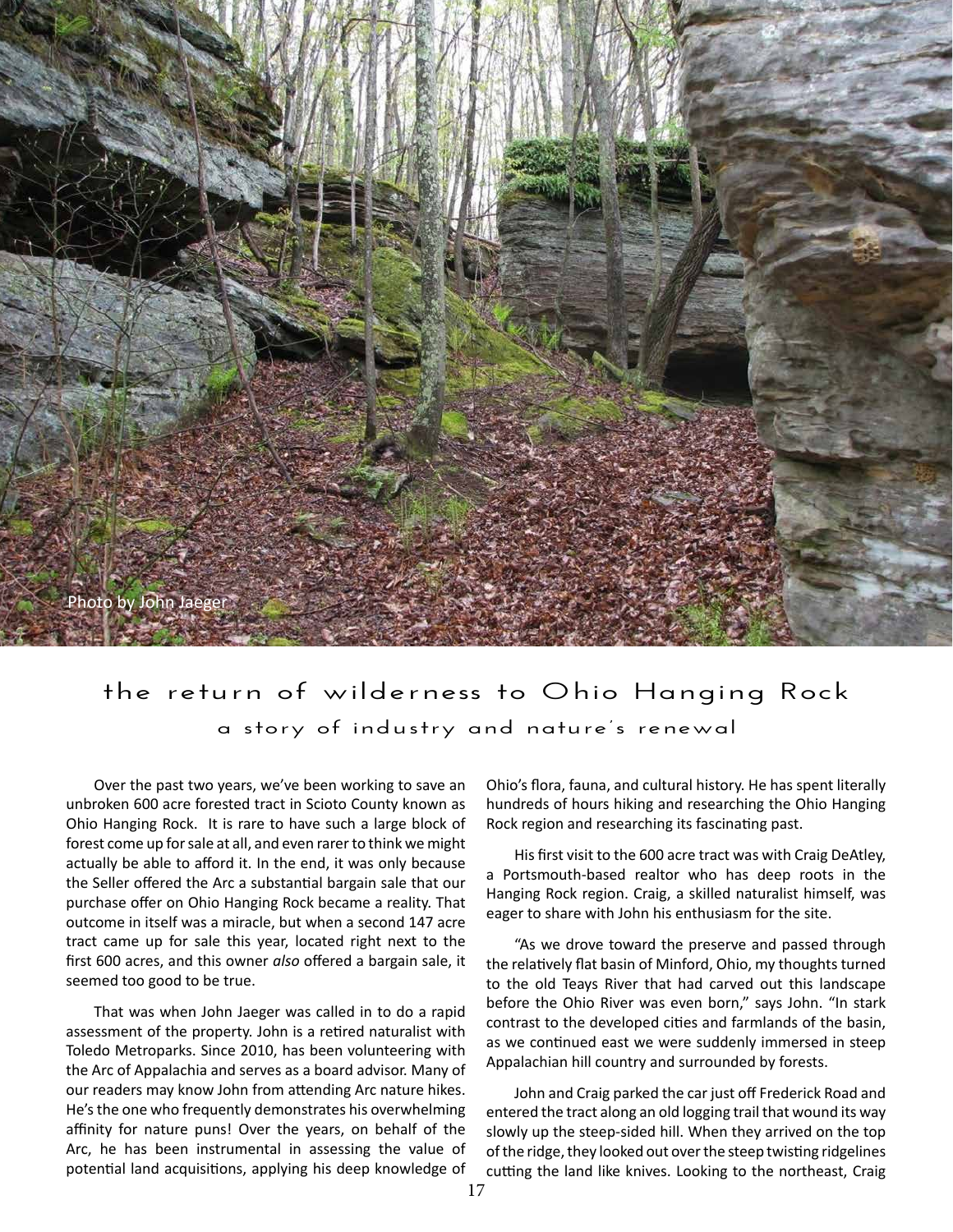

## **the return of wilderness to Ohio Hanging Rock a story of industry and nature's renewal**

Over the past two years, we've been working to save an unbroken 600 acre forested tract in Scioto County known as Ohio Hanging Rock. It is rare to have such a large block of forest come up for sale at all, and even rarer to think we might actually be able to afford it. In the end, it was only because the Seller offered the Arc a substantial bargain sale that our purchase offer on Ohio Hanging Rock became a reality. That outcome in itself was a miracle, but when a second 147 acre tract came up for sale this year, located right next to the first 600 acres, and this owner *also* offered a bargain sale, it seemed too good to be true.

That was when John Jaeger was called in to do a rapid assessment of the property. John is a retired naturalist with Toledo Metroparks. Since 2010, has been volunteering with the Arc of Appalachia and serves as a board advisor. Many of our readers may know John from attending Arc nature hikes. He's the one who frequently demonstrates his overwhelming affinity for nature puns! Over the years, on behalf of the Arc, he has been instrumental in assessing the value of potential land acquisitions, applying his deep knowledge of Ohio's flora, fauna, and cultural history. He has spent literally hundreds of hours hiking and researching the Ohio Hanging Rock region and researching its fascinating past.

His first visit to the 600 acre tract was with Craig DeAtley, a Portsmouth-based realtor who has deep roots in the Hanging Rock region. Craig, a skilled naturalist himself, was eager to share with John his enthusiasm for the site.

"As we drove toward the preserve and passed through the relatively flat basin of Minford, Ohio, my thoughts turned to the old Teays River that had carved out this landscape before the Ohio River was even born," says John. "In stark contrast to the developed cities and farmlands of the basin, as we continued east we were suddenly immersed in steep Appalachian hill country and surrounded by forests.

John and Craig parked the car just off Frederick Road and entered the tract along an old logging trail that wound its way slowly up the steep-sided hill. When they arrived on the top of the ridge, they looked out over the steep twisting ridgelines cutting the land like knives. Looking to the northeast, Craig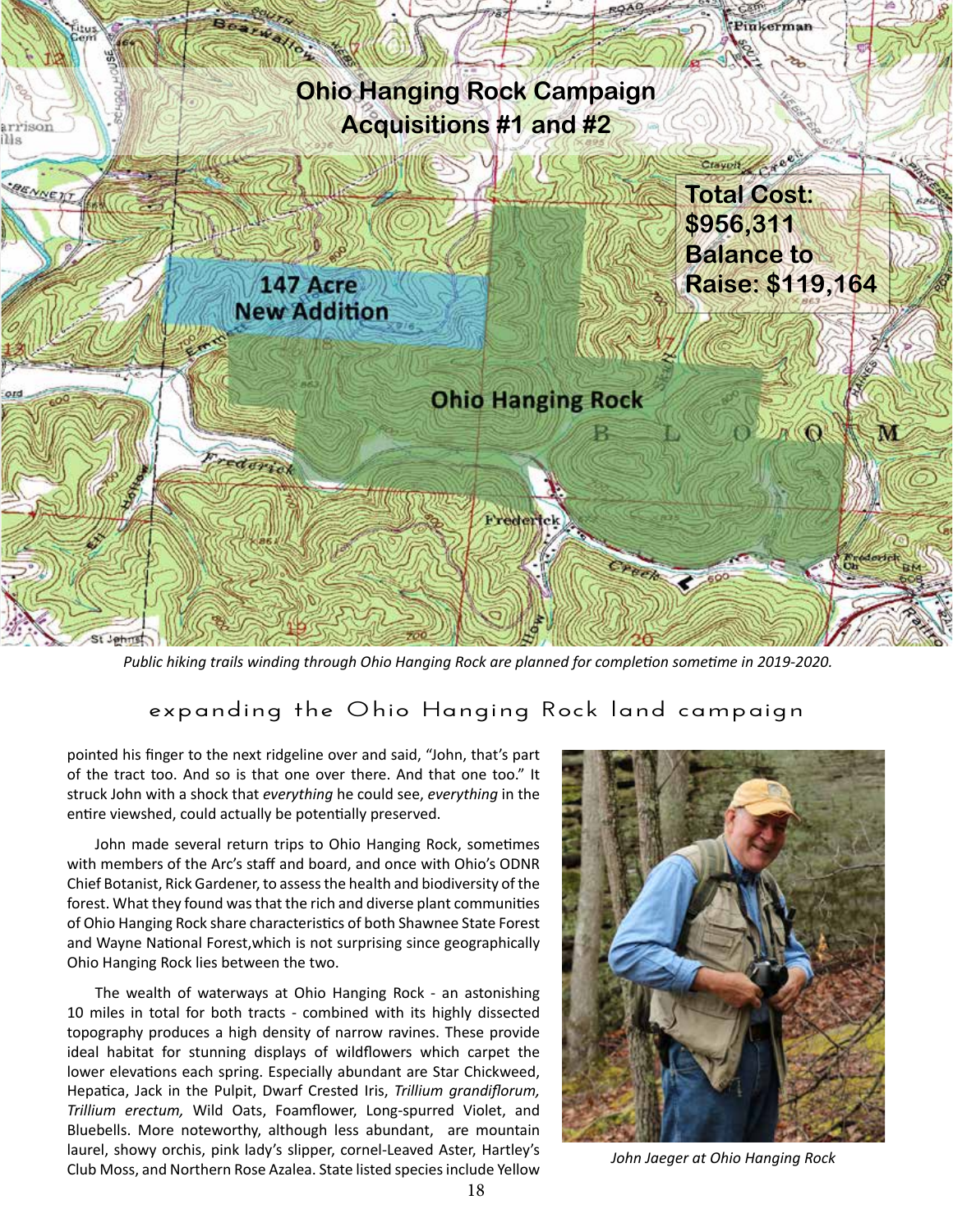

*Public hiking trails winding through Ohio Hanging Rock are planned for completion sometime in 2019-2020.* 

## **expanding the Ohio Hanging Rock land campaign**

pointed his finger to the next ridgeline over and said, "John, that's part of the tract too. And so is that one over there. And that one too." It struck John with a shock that *everything* he could see, *everything* in the entire viewshed, could actually be potentially preserved.

John made several return trips to Ohio Hanging Rock, sometimes with members of the Arc's staff and board, and once with Ohio's ODNR Chief Botanist, Rick Gardener, to assess the health and biodiversity of the forest. What they found was that the rich and diverse plant communities of Ohio Hanging Rock share characteristics of both Shawnee State Forest and Wayne National Forest,which is not surprising since geographically Ohio Hanging Rock lies between the two.

The wealth of waterways at Ohio Hanging Rock - an astonishing 10 miles in total for both tracts - combined with its highly dissected topography produces a high density of narrow ravines. These provide ideal habitat for stunning displays of wildflowers which carpet the lower elevations each spring. Especially abundant are Star Chickweed, Hepatica, Jack in the Pulpit, Dwarf Crested Iris, *Trillium grandiflorum, Trillium erectum,* Wild Oats, Foamflower, Long-spurred Violet, and Bluebells. More noteworthy, although less abundant, are mountain laurel, showy orchis, pink lady's slipper, cornel-Leaved Aster, Hartley's Club Moss, and Northern Rose Azalea. State listed species include Yellow



*John Jaeger at Ohio Hanging Rock*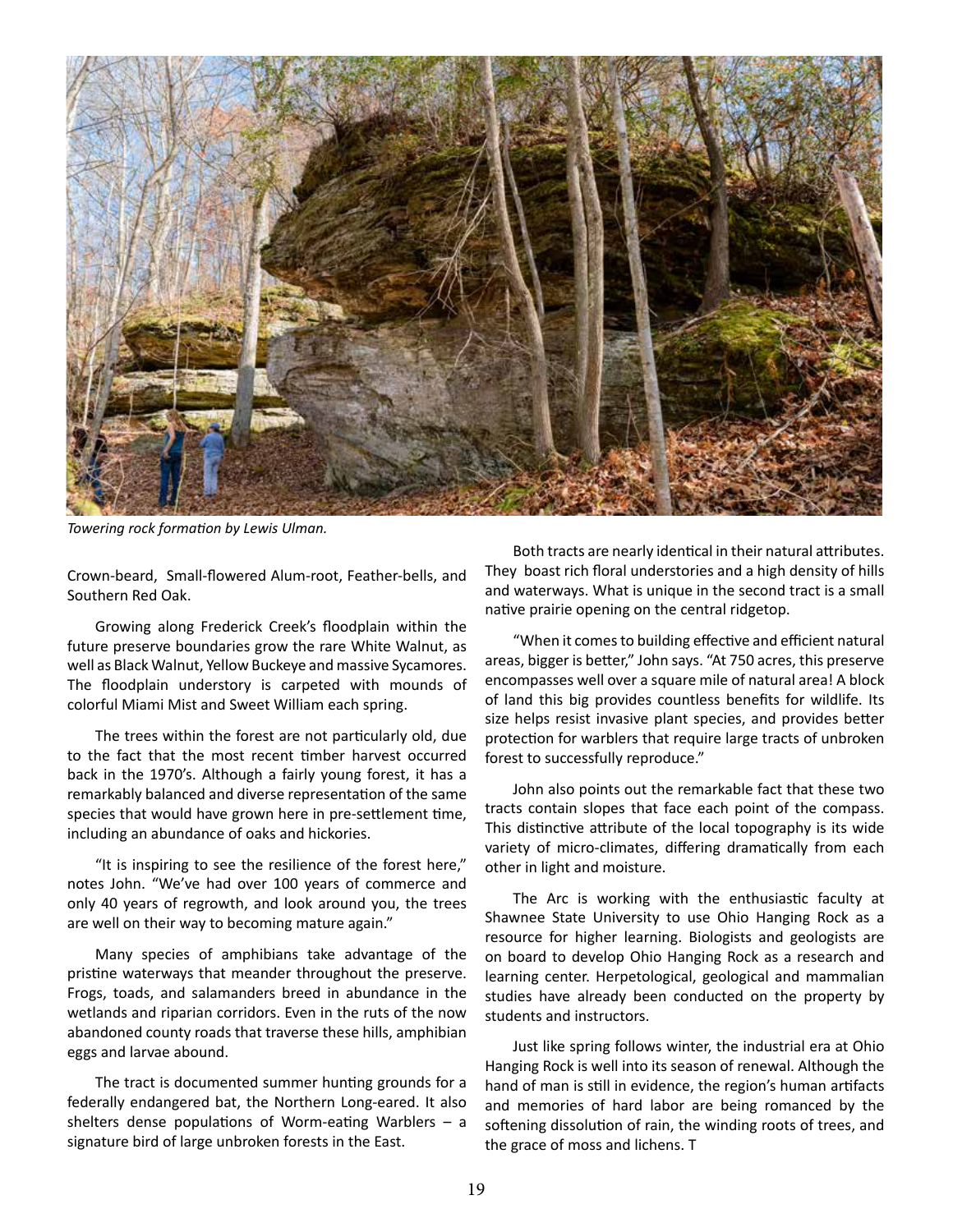

*Towering rock formation by Lewis Ulman.* 

Crown-beard, Small-flowered Alum-root, Feather-bells, and Southern Red Oak.

Growing along Frederick Creek's floodplain within the future preserve boundaries grow the rare White Walnut, as well as Black Walnut, Yellow Buckeye and massive Sycamores. The floodplain understory is carpeted with mounds of colorful Miami Mist and Sweet William each spring.

The trees within the forest are not particularly old, due to the fact that the most recent timber harvest occurred back in the 1970's. Although a fairly young forest, it has a remarkably balanced and diverse representation of the same species that would have grown here in pre-settlement time, including an abundance of oaks and hickories.

"It is inspiring to see the resilience of the forest here," notes John. "We've had over 100 years of commerce and only 40 years of regrowth, and look around you, the trees are well on their way to becoming mature again."

Many species of amphibians take advantage of the pristine waterways that meander throughout the preserve. Frogs, toads, and salamanders breed in abundance in the wetlands and riparian corridors. Even in the ruts of the now abandoned county roads that traverse these hills, amphibian eggs and larvae abound.

The tract is documented summer hunting grounds for a federally endangered bat, the Northern Long-eared. It also shelters dense populations of Worm-eating Warblers – a signature bird of large unbroken forests in the East.

Both tracts are nearly identical in their natural attributes. They boast rich floral understories and a high density of hills and waterways. What is unique in the second tract is a small native prairie opening on the central ridgetop.

"When it comes to building effective and efficient natural areas, bigger is better," John says. "At 750 acres, this preserve encompasses well over a square mile of natural area! A block of land this big provides countless benefits for wildlife. Its size helps resist invasive plant species, and provides better protection for warblers that require large tracts of unbroken forest to successfully reproduce."

John also points out the remarkable fact that these two tracts contain slopes that face each point of the compass. This distinctive attribute of the local topography is its wide variety of micro-climates, differing dramatically from each other in light and moisture.

The Arc is working with the enthusiastic faculty at Shawnee State University to use Ohio Hanging Rock as a resource for higher learning. Biologists and geologists are on board to develop Ohio Hanging Rock as a research and learning center. Herpetological, geological and mammalian studies have already been conducted on the property by students and instructors.

Just like spring follows winter, the industrial era at Ohio Hanging Rock is well into its season of renewal. Although the hand of man is still in evidence, the region's human artifacts and memories of hard labor are being romanced by the softening dissolution of rain, the winding roots of trees, and the grace of moss and lichens. T